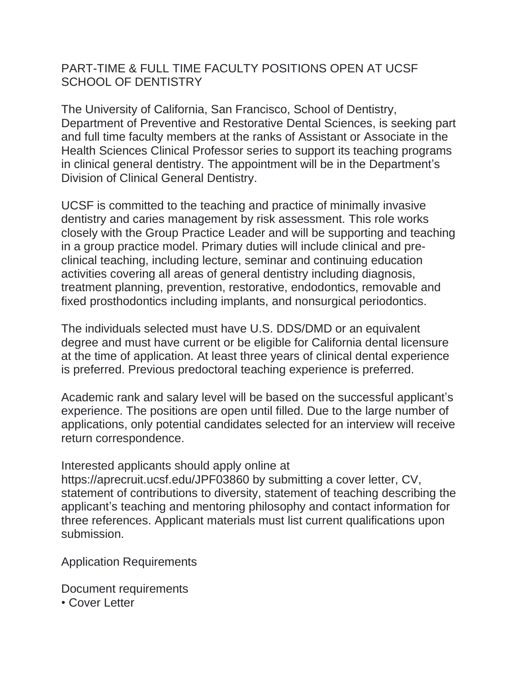## PART-TIME & FULL TIME FACULTY POSITIONS OPEN AT UCSF SCHOOL OF DENTISTRY

The University of California, San Francisco, School of Dentistry, Department of Preventive and Restorative Dental Sciences, is seeking part and full time faculty members at the ranks of Assistant or Associate in the Health Sciences Clinical Professor series to support its teaching programs in clinical general dentistry. The appointment will be in the Department's Division of Clinical General Dentistry.

UCSF is committed to the teaching and practice of minimally invasive dentistry and caries management by risk assessment. This role works closely with the Group Practice Leader and will be supporting and teaching in a group practice model. Primary duties will include clinical and preclinical teaching, including lecture, seminar and continuing education activities covering all areas of general dentistry including diagnosis, treatment planning, prevention, restorative, endodontics, removable and fixed prosthodontics including implants, and nonsurgical periodontics.

The individuals selected must have U.S. DDS/DMD or an equivalent degree and must have current or be eligible for California dental licensure at the time of application. At least three years of clinical dental experience is preferred. Previous predoctoral teaching experience is preferred.

Academic rank and salary level will be based on the successful applicant's experience. The positions are open until filled. Due to the large number of applications, only potential candidates selected for an interview will receive return correspondence.

## Interested applicants should apply online at

https://aprecruit.ucsf.edu/JPF03860 by submitting a cover letter, CV, statement of contributions to diversity, statement of teaching describing the applicant's teaching and mentoring philosophy and contact information for three references. Applicant materials must list current qualifications upon submission.

Application Requirements

Document requirements

• Cover Letter